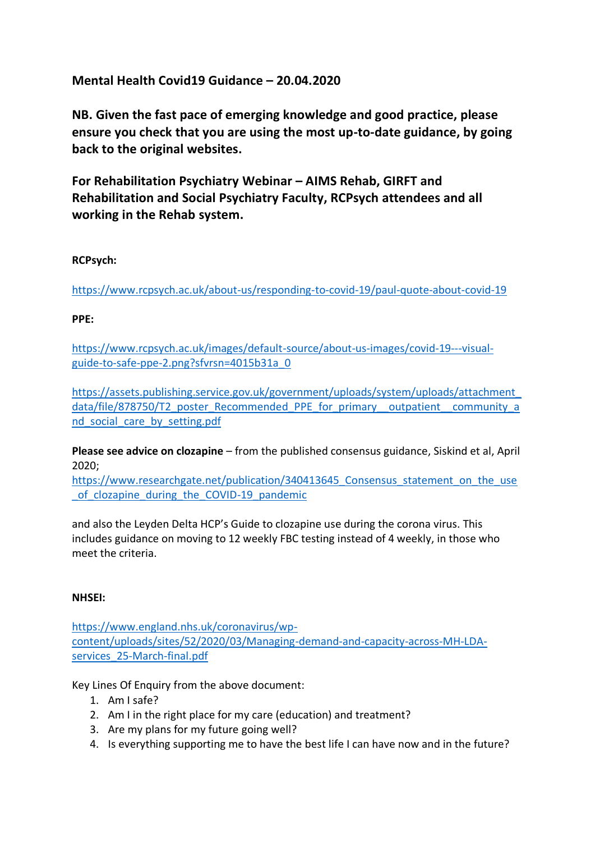**Mental Health Covid19 Guidance – 20.04.2020**

**NB. Given the fast pace of emerging knowledge and good practice, please ensure you check that you are using the most up-to-date guidance, by going back to the original websites.**

**For Rehabilitation Psychiatry Webinar – AIMS Rehab, GIRFT and Rehabilitation and Social Psychiatry Faculty, RCPsych attendees and all working in the Rehab system.** 

## **RCPsych:**

<https://www.rcpsych.ac.uk/about-us/responding-to-covid-19/paul-quote-about-covid-19>

## **PPE:**

[https://www.rcpsych.ac.uk/images/default-source/about-us-images/covid-19---visual](https://www.rcpsych.ac.uk/images/default-source/about-us-images/covid-19---visual-guide-to-safe-ppe-2.png?sfvrsn=4015b31a_0)[guide-to-safe-ppe-2.png?sfvrsn=4015b31a\\_0](https://www.rcpsych.ac.uk/images/default-source/about-us-images/covid-19---visual-guide-to-safe-ppe-2.png?sfvrsn=4015b31a_0)

[https://assets.publishing.service.gov.uk/government/uploads/system/uploads/attachment\\_](https://assets.publishing.service.gov.uk/government/uploads/system/uploads/attachment_data/file/878750/T2_poster_Recommended_PPE_for_primary__outpatient__community_and_social_care_by_setting.pdf) [data/file/878750/T2\\_poster\\_Recommended\\_PPE\\_for\\_primary\\_\\_outpatient\\_\\_community\\_a](https://assets.publishing.service.gov.uk/government/uploads/system/uploads/attachment_data/file/878750/T2_poster_Recommended_PPE_for_primary__outpatient__community_and_social_care_by_setting.pdf) [nd\\_social\\_care\\_by\\_setting.pdf](https://assets.publishing.service.gov.uk/government/uploads/system/uploads/attachment_data/file/878750/T2_poster_Recommended_PPE_for_primary__outpatient__community_and_social_care_by_setting.pdf)

**Please see advice on clozapine** – from the published consensus guidance, Siskind et al, April 2020;

https://www.researchgate.net/publication/340413645 Consensus statement on the use of clozapine during the COVID-19 pandemic

and also the Leyden Delta HCP's Guide to clozapine use during the corona virus. This includes guidance on moving to 12 weekly FBC testing instead of 4 weekly, in those who meet the criteria.

## **NHSEI:**

[https://www.england.nhs.uk/coronavirus/wp](https://www.england.nhs.uk/coronavirus/wp-content/uploads/sites/52/2020/03/Managing-demand-and-capacity-across-MH-LDA-services_25-March-final.pdf)[content/uploads/sites/52/2020/03/Managing-demand-and-capacity-across-MH-LDA](https://www.england.nhs.uk/coronavirus/wp-content/uploads/sites/52/2020/03/Managing-demand-and-capacity-across-MH-LDA-services_25-March-final.pdf)[services\\_25-March-final.pdf](https://www.england.nhs.uk/coronavirus/wp-content/uploads/sites/52/2020/03/Managing-demand-and-capacity-across-MH-LDA-services_25-March-final.pdf)

Key Lines Of Enquiry from the above document:

- 1. Am I safe?
- 2. Am I in the right place for my care (education) and treatment?
- 3. Are my plans for my future going well?
- 4. Is everything supporting me to have the best life I can have now and in the future?